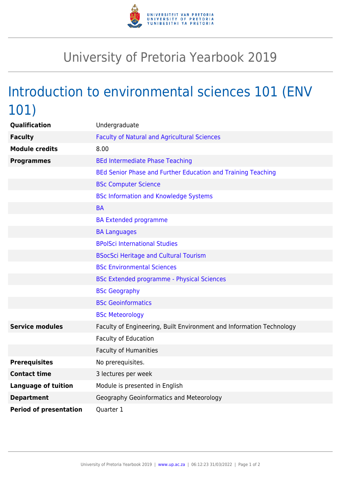

## University of Pretoria Yearbook 2019

## Introduction to environmental sciences 101 (ENV 101)

| Qualification                 | Undergraduate                                                        |
|-------------------------------|----------------------------------------------------------------------|
| <b>Faculty</b>                | <b>Faculty of Natural and Agricultural Sciences</b>                  |
| <b>Module credits</b>         | 8.00                                                                 |
| <b>Programmes</b>             | <b>BEd Intermediate Phase Teaching</b>                               |
|                               | BEd Senior Phase and Further Education and Training Teaching         |
|                               | <b>BSc Computer Science</b>                                          |
|                               | <b>BSc Information and Knowledge Systems</b>                         |
|                               | <b>BA</b>                                                            |
|                               | <b>BA Extended programme</b>                                         |
|                               | <b>BA Languages</b>                                                  |
|                               | <b>BPolSci International Studies</b>                                 |
|                               | <b>BSocSci Heritage and Cultural Tourism</b>                         |
|                               | <b>BSc Environmental Sciences</b>                                    |
|                               | <b>BSc Extended programme - Physical Sciences</b>                    |
|                               | <b>BSc Geography</b>                                                 |
|                               | <b>BSc Geoinformatics</b>                                            |
|                               | <b>BSc Meteorology</b>                                               |
| <b>Service modules</b>        | Faculty of Engineering, Built Environment and Information Technology |
|                               | Faculty of Education                                                 |
|                               | <b>Faculty of Humanities</b>                                         |
| <b>Prerequisites</b>          | No prerequisites.                                                    |
| <b>Contact time</b>           | 3 lectures per week                                                  |
| <b>Language of tuition</b>    | Module is presented in English                                       |
| <b>Department</b>             | Geography Geoinformatics and Meteorology                             |
| <b>Period of presentation</b> | Quarter 1                                                            |